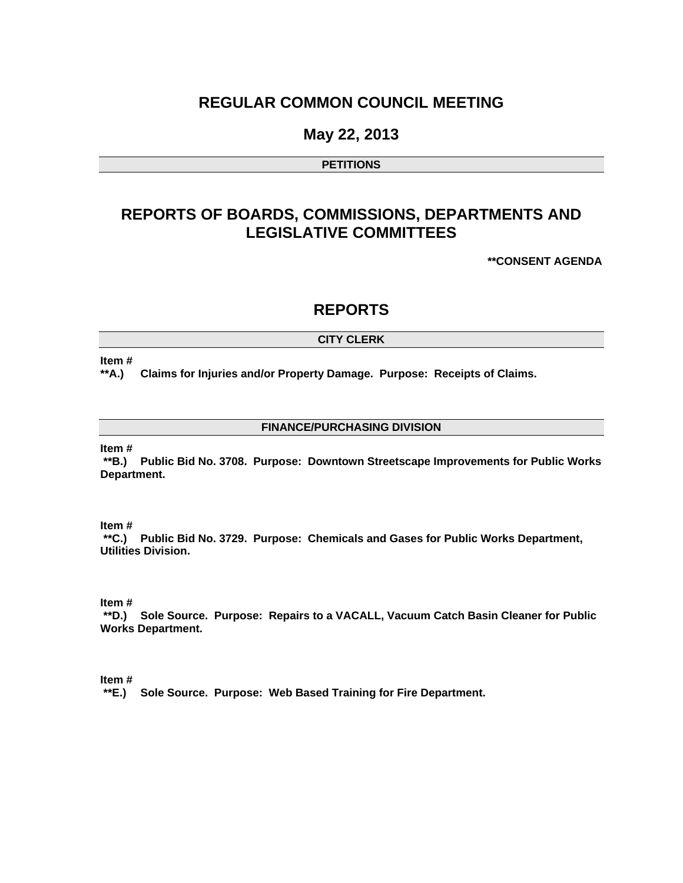## **REGULAR COMMON COUNCIL MEETING**

### **May 22, 2013**

#### **PETITIONS**

## **REPORTS OF BOARDS, COMMISSIONS, DEPARTMENTS AND LEGISLATIVE COMMITTEES**

**\*\*CONSENT AGENDA** 

### **REPORTS**

#### **CITY CLERK**

#### **Item #**

**\*\*A.) Claims for Injuries and/or Property Damage. Purpose: Receipts of Claims.** 

#### **FINANCE/PURCHASING DIVISION**

**Item #** 

 **\*\*B.) Public Bid No. 3708. Purpose: Downtown Streetscape Improvements for Public Works Department.** 

#### **Item #**

 **\*\*C.) Public Bid No. 3729. Purpose: Chemicals and Gases for Public Works Department, Utilities Division.** 

#### **Item #**

 **\*\*D.) Sole Source. Purpose: Repairs to a VACALL, Vacuum Catch Basin Cleaner for Public Works Department.** 

#### **Item #**

 **\*\*E.) Sole Source. Purpose: Web Based Training for Fire Department.**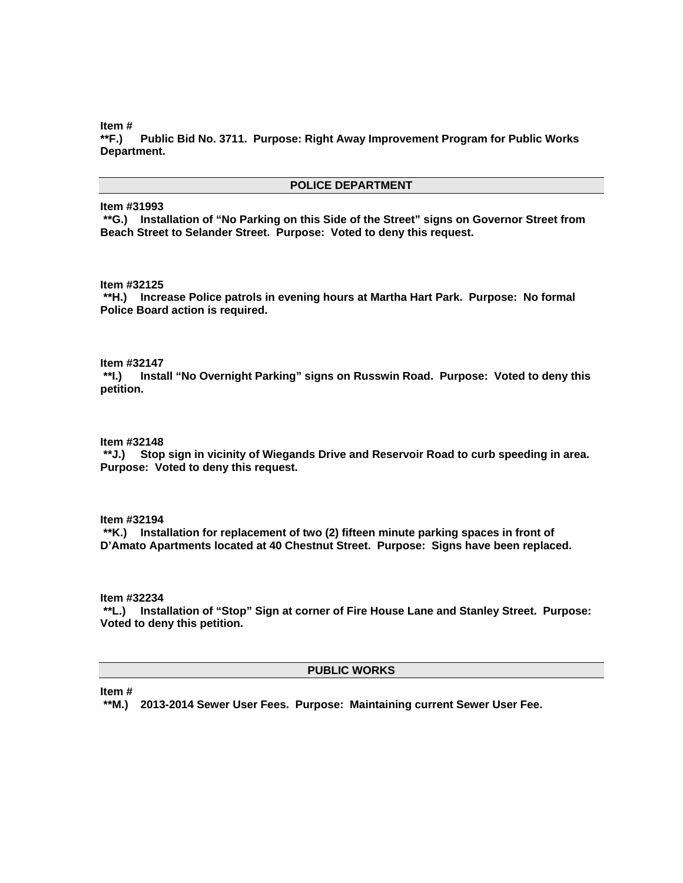**Item #** 

**\*\*F.) Public Bid No. 3711. Purpose: Right Away Improvement Program for Public Works Department.** 

#### **POLICE DEPARTMENT**

**Item #31993** 

 **\*\*G.) Installation of "No Parking on this Side of the Street" signs on Governor Street from Beach Street to Selander Street. Purpose: Voted to deny this request.** 

**Item #32125** 

 **\*\*H.) Increase Police patrols in evening hours at Martha Hart Park. Purpose: No formal Police Board action is required.** 

**Item #32147** 

 **\*\*I.) Install "No Overnight Parking" signs on Russwin Road. Purpose: Voted to deny this petition.** 

**Item #32148** 

 **\*\*J.) Stop sign in vicinity of Wiegands Drive and Reservoir Road to curb speeding in area. Purpose: Voted to deny this request.** 

**Item #32194** 

 **\*\*K.) Installation for replacement of two (2) fifteen minute parking spaces in front of D'Amato Apartments located at 40 Chestnut Street. Purpose: Signs have been replaced.** 

**Item #32234** 

 **\*\*L.) Installation of "Stop" Sign at corner of Fire House Lane and Stanley Street. Purpose: Voted to deny this petition.** 

#### **PUBLIC WORKS**

**Item #** 

 **\*\*M.) 2013-2014 Sewer User Fees. Purpose: Maintaining current Sewer User Fee.**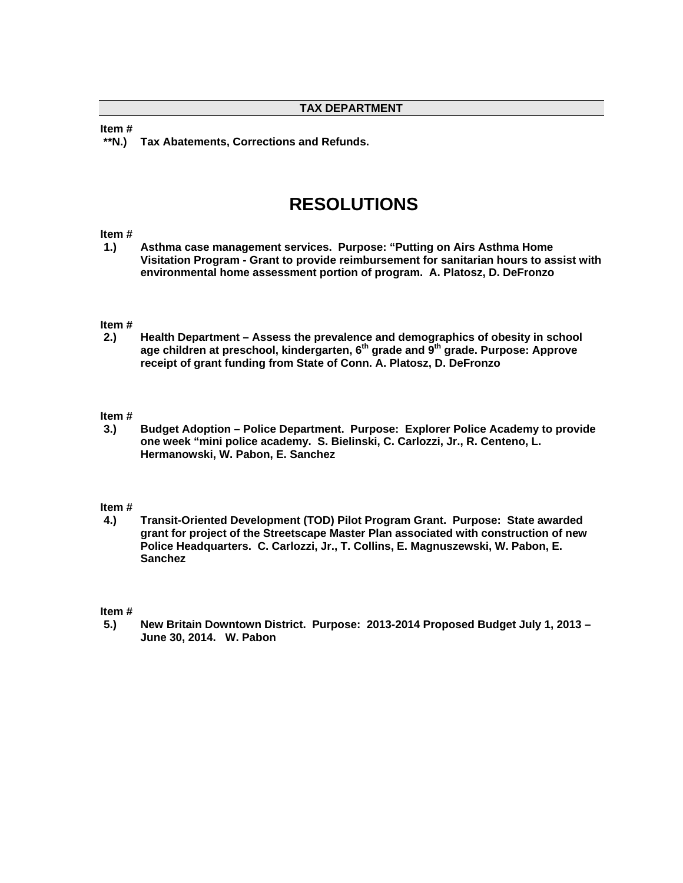**Item #** 

 **\*\*N.) Tax Abatements, Corrections and Refunds.** 

# **RESOLUTIONS**

#### **Item #**

**1.) Asthma case management services. Purpose: "Putting on Airs Asthma Home Visitation Program - Grant to provide reimbursement for sanitarian hours to assist with environmental home assessment portion of program. A. Platosz, D. DeFronzo** 

# **Item #**

**2.) Health Department – Assess the prevalence and demographics of obesity in school age children at preschool, kindergarten, 6th grade and 9th grade. Purpose: Approve receipt of grant funding from State of Conn. A. Platosz, D. DeFronzo** 

#### **Item #**

**3.) Budget Adoption – Police Department. Purpose: Explorer Police Academy to provide one week "mini police academy. S. Bielinski, C. Carlozzi, Jr., R. Centeno, L. Hermanowski, W. Pabon, E. Sanchez** 

#### **Item #**

**4.) Transit-Oriented Development (TOD) Pilot Program Grant. Purpose: State awarded grant for project of the Streetscape Master Plan associated with construction of new Police Headquarters. C. Carlozzi, Jr., T. Collins, E. Magnuszewski, W. Pabon, E. Sanchez** 

#### **Item #**

**5.) New Britain Downtown District. Purpose: 2013-2014 Proposed Budget July 1, 2013 – June 30, 2014. W. Pabon**